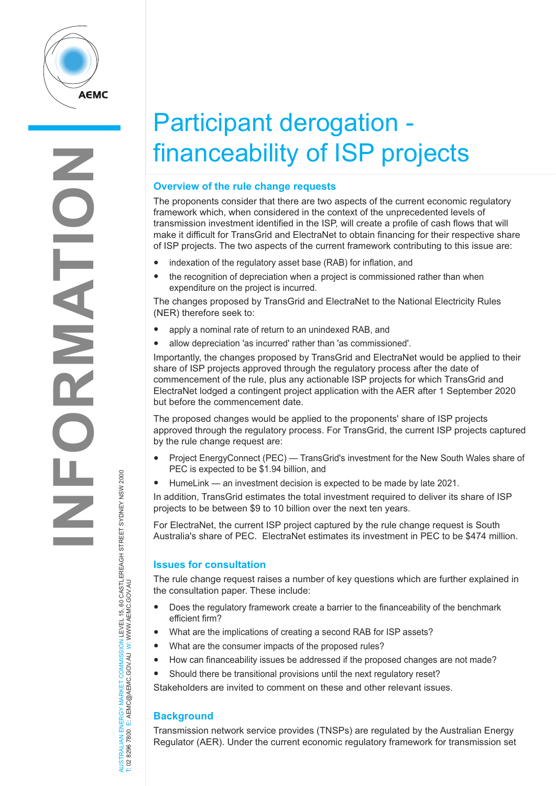

# Participant derogation financeability of ISP projects

### **Overview of the rule change requests**

The proponents consider that there are two aspects of the current economic regulatory framework which, when considered in the context of the unprecedented levels of transmission investment identified in the ISP, will create a profile of cash flows that will make it difficult for TransGrid and ElectraNet to obtain financing for their respective share of ISP projects. The two aspects of the current framework contributing to this issue are:

- indexation of the regulatory asset base (RAB) for inflation, and
- the recognition of depreciation when a project is commissioned rather than when expenditure on the project is incurred.

The changes proposed by TransGrid and ElectraNet to the National Electricity Rules (NER) therefore seek to:

- apply a nominal rate of return to an unindexed RAB, and
- allow depreciation 'as incurred' rather than 'as commissioned'.

Importantly, the changes proposed by TransGrid and ElectraNet would be applied to their share of ISP projects approved through the regulatory process after the date of commencement of the rule, plus any actionable ISP projects for which TransGrid and ElectraNet lodged a contingent project application with the AER after 1 September 2020 but before the commencement date.

The proposed changes would be applied to the proponents' share of ISP projects approved through the regulatory process. For TransGrid, the current ISP projects captured by the rule change request are:

- Project EnergyConnect (PEC) TransGrid's investment for the New South Wales share of PEC is expected to be \$1.94 billion, and
- HumeLink an investment decision is expected to be made by late 2021.

In addition, TransGrid estimates the total investment required to deliver its share of ISP projects to be between \$9 to 10 billion over the next ten years.

For ElectraNet, the current ISP project captured by the rule change request is South Australia's share of PEC. ElectraNet estimates its investment in PEC to be \$474 million.

### **Issues for consultation**

The rule change request raises a number of key questions which are further explained in the consultation paper. These include:

- Does the regulatory framework create a barrier to the financeability of the benchmark efficient firm?
- What are the implications of creating a second RAB for ISP assets?
- What are the consumer impacts of the proposed rules?
- How can financeability issues be addressed if the proposed changes are not made?
- Should there be transitional provisions until the next regulatory reset?

Stakeholders are invited to comment on these and other relevant issues.

## **Background**

AUSTRALIAN ENERGY MARKET COMMISSION LEVEL 15, 60 CASTLEREAGH STREET SYDNEY NSW 2000

NERGY MARKET COMMISSION LEVEL 15, 60 CASTLEREAGH STREET SYDNEY NSW 2000<br>E: AEMC@AEMC.GOV.AU W: WWW.AEMC.GOV.AU

T: 02 8296 7800 E: AEMC@AEMC.GOV.AU W: WWW.AEMC.GOV.AU

AUSTRALIAN ENERGY MARKET

Transmission network service provides (TNSPs) are regulated by the Australian Energy Regulator (AER). Under the current economic regulatory framework for transmission set